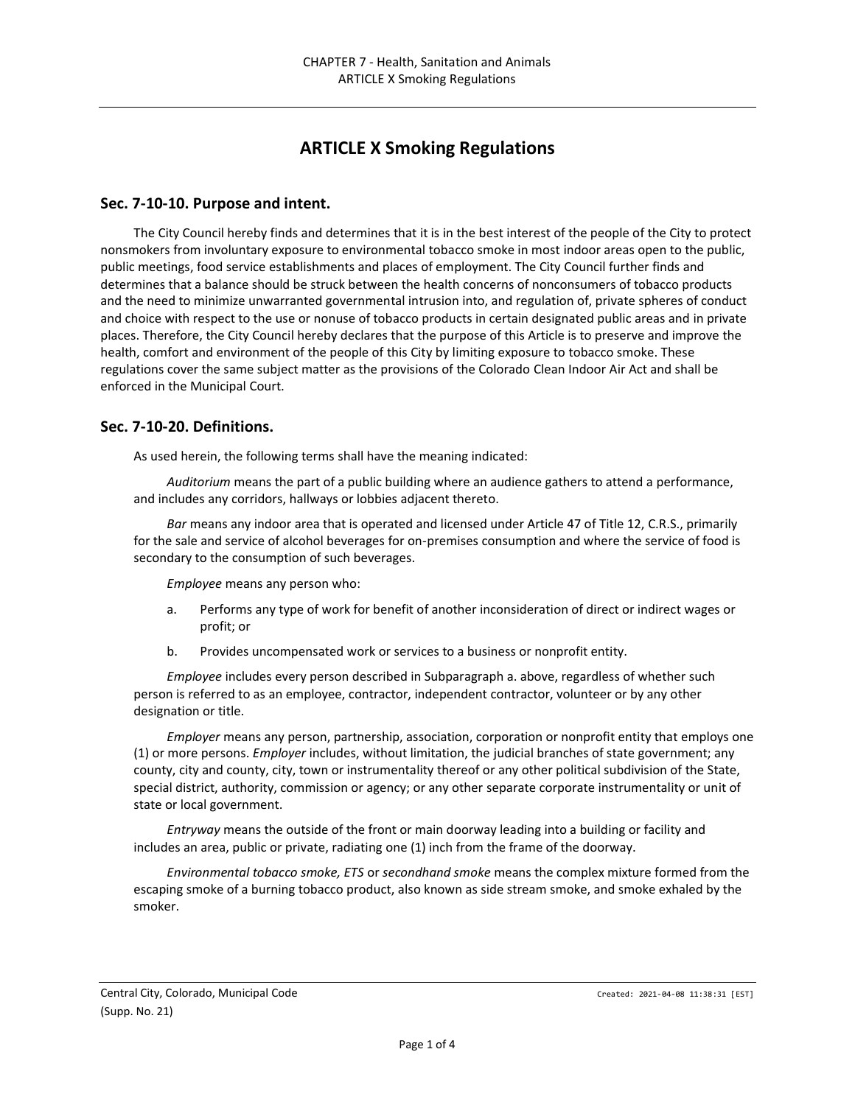# **ARTICLE X Smoking Regulations**

#### **Sec. 7-10-10. Purpose and intent.**

The City Council hereby finds and determines that it is in the best interest of the people of the City to protect nonsmokers from involuntary exposure to environmental tobacco smoke in most indoor areas open to the public, public meetings, food service establishments and places of employment. The City Council further finds and determines that a balance should be struck between the health concerns of nonconsumers of tobacco products and the need to minimize unwarranted governmental intrusion into, and regulation of, private spheres of conduct and choice with respect to the use or nonuse of tobacco products in certain designated public areas and in private places. Therefore, the City Council hereby declares that the purpose of this Article is to preserve and improve the health, comfort and environment of the people of this City by limiting exposure to tobacco smoke. These regulations cover the same subject matter as the provisions of the Colorado Clean Indoor Air Act and shall be enforced in the Municipal Court.

#### **Sec. 7-10-20. Definitions.**

As used herein, the following terms shall have the meaning indicated:

*Auditorium* means the part of a public building where an audience gathers to attend a performance, and includes any corridors, hallways or lobbies adjacent thereto.

*Bar* means any indoor area that is operated and licensed under Article 47 of Title 12, C.R.S., primarily for the sale and service of alcohol beverages for on-premises consumption and where the service of food is secondary to the consumption of such beverages.

*Employee* means any person who:

- a. Performs any type of work for benefit of another inconsideration of direct or indirect wages or profit; or
- b. Provides uncompensated work or services to a business or nonprofit entity.

*Employee* includes every person described in Subparagraph a. above, regardless of whether such person is referred to as an employee, contractor, independent contractor, volunteer or by any other designation or title.

*Employer* means any person, partnership, association, corporation or nonprofit entity that employs one (1) or more persons. *Employer* includes, without limitation, the judicial branches of state government; any county, city and county, city, town or instrumentality thereof or any other political subdivision of the State, special district, authority, commission or agency; or any other separate corporate instrumentality or unit of state or local government.

*Entryway* means the outside of the front or main doorway leading into a building or facility and includes an area, public or private, radiating one (1) inch from the frame of the doorway.

*Environmental tobacco smoke, ETS* or *secondhand smoke* means the complex mixture formed from the escaping smoke of a burning tobacco product, also known as side stream smoke, and smoke exhaled by the smoker.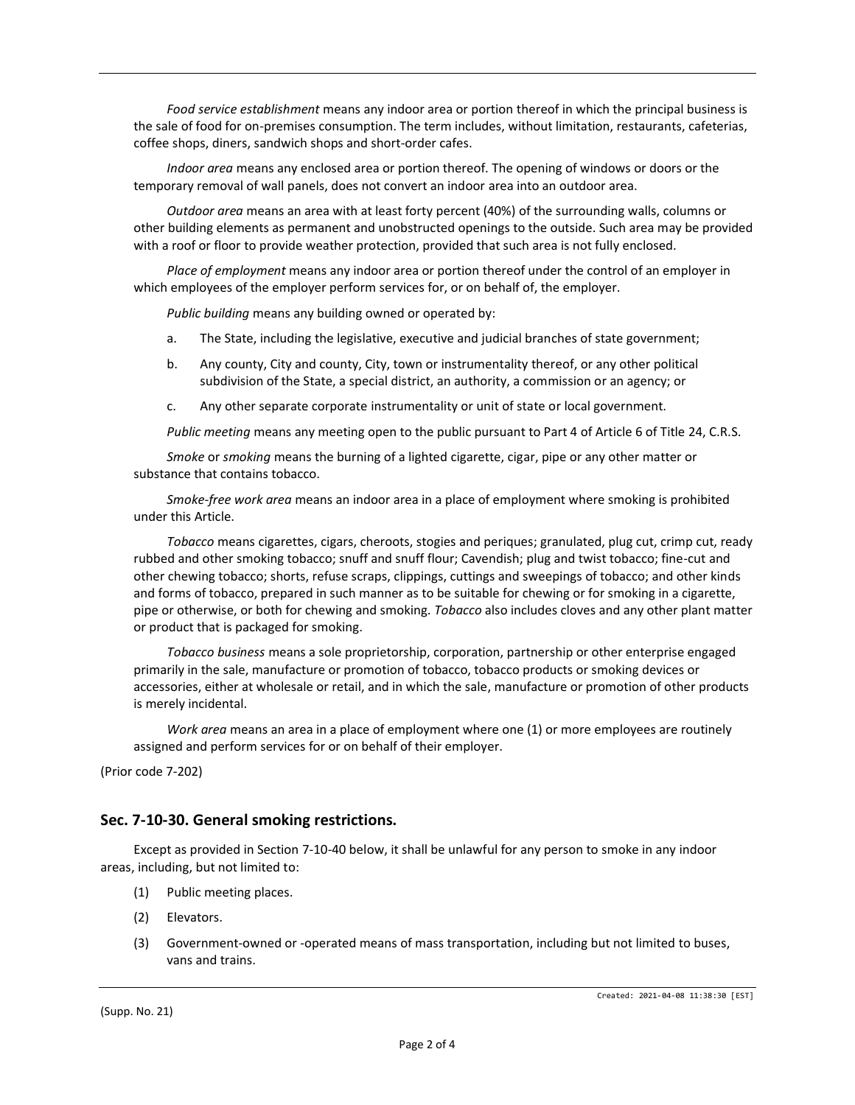*Food service establishment* means any indoor area or portion thereof in which the principal business is the sale of food for on-premises consumption. The term includes, without limitation, restaurants, cafeterias, coffee shops, diners, sandwich shops and short-order cafes.

*Indoor area* means any enclosed area or portion thereof. The opening of windows or doors or the temporary removal of wall panels, does not convert an indoor area into an outdoor area.

*Outdoor area* means an area with at least forty percent (40%) of the surrounding walls, columns or other building elements as permanent and unobstructed openings to the outside. Such area may be provided with a roof or floor to provide weather protection, provided that such area is not fully enclosed.

*Place of employment* means any indoor area or portion thereof under the control of an employer in which employees of the employer perform services for, or on behalf of, the employer.

*Public building* means any building owned or operated by:

- a. The State, including the legislative, executive and judicial branches of state government;
- b. Any county, City and county, City, town or instrumentality thereof, or any other political subdivision of the State, a special district, an authority, a commission or an agency; or
- c. Any other separate corporate instrumentality or unit of state or local government.

*Public meeting* means any meeting open to the public pursuant to Part 4 of Article 6 of Title 24, C.R.S.

*Smoke* or *smoking* means the burning of a lighted cigarette, cigar, pipe or any other matter or substance that contains tobacco.

*Smoke-free work area* means an indoor area in a place of employment where smoking is prohibited under this Article.

*Tobacco* means cigarettes, cigars, cheroots, stogies and periques; granulated, plug cut, crimp cut, ready rubbed and other smoking tobacco; snuff and snuff flour; Cavendish; plug and twist tobacco; fine-cut and other chewing tobacco; shorts, refuse scraps, clippings, cuttings and sweepings of tobacco; and other kinds and forms of tobacco, prepared in such manner as to be suitable for chewing or for smoking in a cigarette, pipe or otherwise, or both for chewing and smoking. *Tobacco* also includes cloves and any other plant matter or product that is packaged for smoking.

*Tobacco business* means a sole proprietorship, corporation, partnership or other enterprise engaged primarily in the sale, manufacture or promotion of tobacco, tobacco products or smoking devices or accessories, either at wholesale or retail, and in which the sale, manufacture or promotion of other products is merely incidental.

*Work area* means an area in a place of employment where one (1) or more employees are routinely assigned and perform services for or on behalf of their employer.

(Prior code 7-202)

### **Sec. 7-10-30. General smoking restrictions.**

Except as provided in Section 7-10-40 below, it shall be unlawful for any person to smoke in any indoor areas, including, but not limited to:

- (1) Public meeting places.
- (2) Elevators.
- (3) Government-owned or -operated means of mass transportation, including but not limited to buses, vans and trains.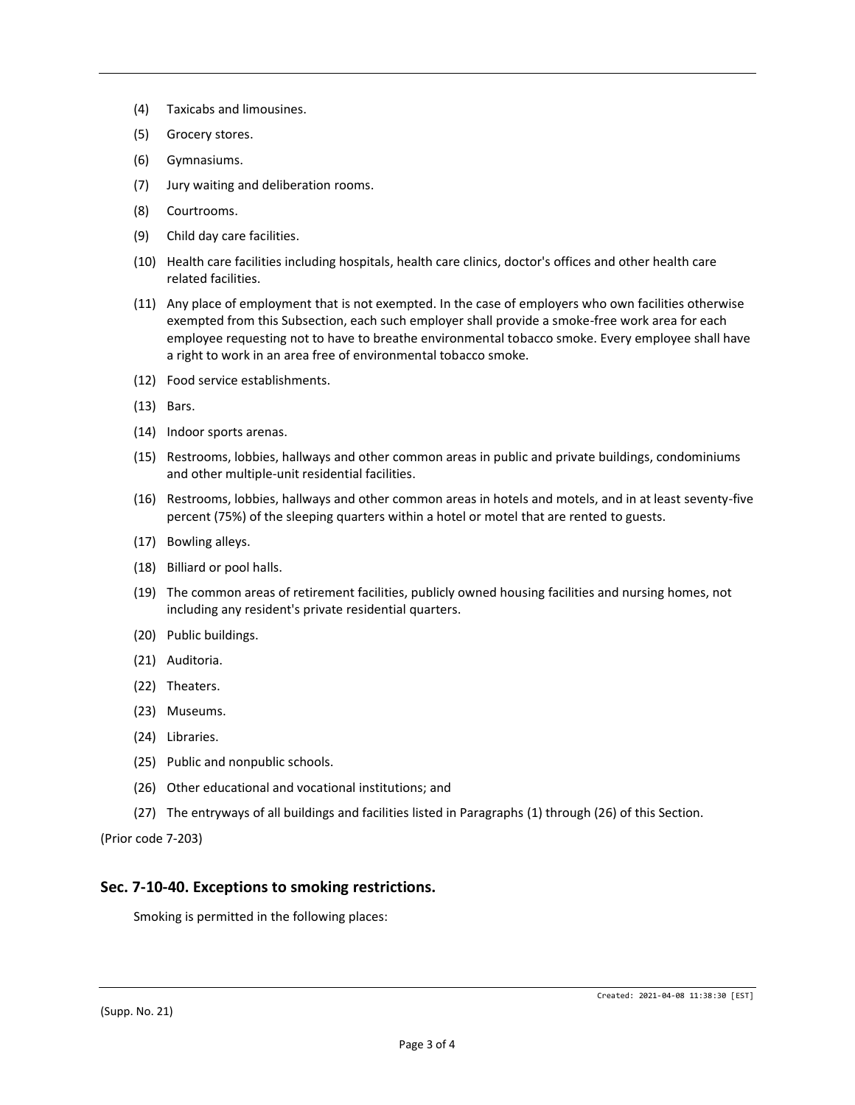- (4) Taxicabs and limousines.
- (5) Grocery stores.
- (6) Gymnasiums.
- (7) Jury waiting and deliberation rooms.
- (8) Courtrooms.
- (9) Child day care facilities.
- (10) Health care facilities including hospitals, health care clinics, doctor's offices and other health care related facilities.
- (11) Any place of employment that is not exempted. In the case of employers who own facilities otherwise exempted from this Subsection, each such employer shall provide a smoke-free work area for each employee requesting not to have to breathe environmental tobacco smoke. Every employee shall have a right to work in an area free of environmental tobacco smoke.
- (12) Food service establishments.
- (13) Bars.
- (14) Indoor sports arenas.
- (15) Restrooms, lobbies, hallways and other common areas in public and private buildings, condominiums and other multiple-unit residential facilities.
- (16) Restrooms, lobbies, hallways and other common areas in hotels and motels, and in at least seventy-five percent (75%) of the sleeping quarters within a hotel or motel that are rented to guests.
- (17) Bowling alleys.
- (18) Billiard or pool halls.
- (19) The common areas of retirement facilities, publicly owned housing facilities and nursing homes, not including any resident's private residential quarters.
- (20) Public buildings.
- (21) Auditoria.
- (22) Theaters.
- (23) Museums.
- (24) Libraries.
- (25) Public and nonpublic schools.
- (26) Other educational and vocational institutions; and
- (27) The entryways of all buildings and facilities listed in Paragraphs (1) through (26) of this Section.

(Prior code 7-203)

#### **Sec. 7-10-40. Exceptions to smoking restrictions.**

Smoking is permitted in the following places:

(Supp. No. 21)